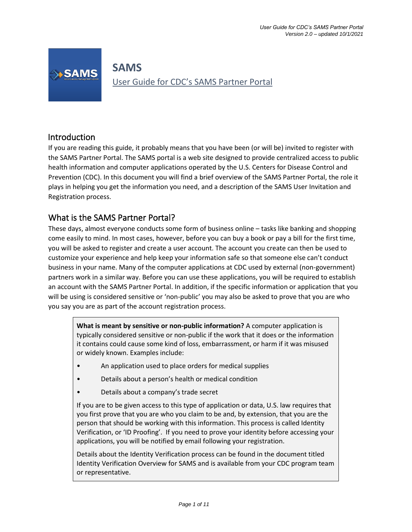

# **SAMS** User Guide for CDC's SAMS Partner Portal

# Introduction

If you are reading this guide, it probably means that you have been (or will be) invited to register with the SAMS Partner Portal. The SAMS portal is a web site designed to provide centralized access to public health information and computer applications operated by the U.S. Centers for Disease Control and Prevention (CDC). In this document you will find a brief overview of the SAMS Partner Portal, the role it plays in helping you get the information you need, and a description of the SAMS User Invitation and Registration process.

# What is the SAMS Partner Portal?

These days, almost everyone conducts some form of business online – tasks like banking and shopping come easily to mind. In most cases, however, before you can buy a book or pay a bill for the first time, you will be asked to register and create a user account. The account you create can then be used to customize your experience and help keep your information safe so that someone else can't conduct business in your name. Many of the computer applications at CDC used by external (non-government) partners work in a similar way. Before you can use these applications, you will be required to establish an account with the SAMS Partner Portal. In addition, if the specific information or application that you will be using is considered sensitive or 'non-public' you may also be asked to prove that you are who you say you are as part of the account registration process.

**What is meant by sensitive or non-public information?** A computer application is typically considered sensitive or non-public if the work that it does or the information it contains could cause some kind of loss, embarrassment, or harm if it was misused or widely known. Examples include:

- An application used to place orders for medical supplies
- Details about a person's health or medical condition
- Details about a company's trade secret

If you are to be given access to this type of application or data, U.S. law requires that you first prove that you are who you claim to be and, by extension, that you are the person that should be working with this information. This process is called Identity Verification, or 'ID Proofing'. If you need to prove your identity before accessing your applications, you will be notified by email following your registration.

Details about the Identity Verification process can be found in the document titled Identity Verification Overview for SAMS and is available from your CDC program team or representative.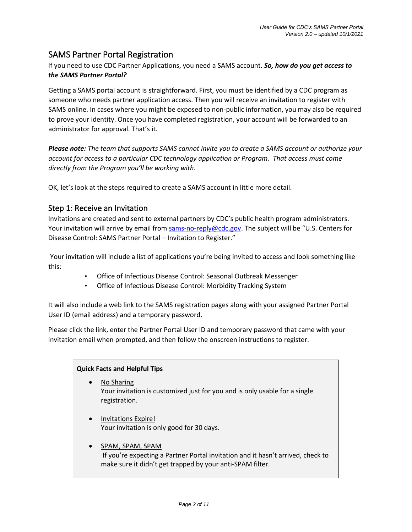# SAMS Partner Portal Registration

If you need to use CDC Partner Applications, you need a SAMS account. *So, how do you get access to the SAMS Partner Portal?*

Getting a SAMS portal account is straightforward. First, you must be identified by a CDC program as someone who needs partner application access. Then you will receive an invitation to register with SAMS online. In cases where you might be exposed to non-public information, you may also be required to prove your identity. Once you have completed registration, your account will be forwarded to an administrator for approval. That's it.

*Please note: The team that supports SAMS cannot invite you to create a SAMS account or authorize your account for access to a particular CDC technology application or Program. That access must come directly from the Program you'll be working with.*

OK, let's look at the steps required to create a SAMS account in little more detail.

#### Step 1: Receive an Invitation

Invitations are created and sent to external partners by CDC's public health program administrators. Your invitation will arrive by email from sams-no-reply@cdc.gov. The subject will be "U.S. Centers for Disease Control: SAMS Partner Portal – Invitation to Register."

Your invitation will include a list of applications you're being invited to access and look something like this:

- Office of Infectious Disease Control: Seasonal Outbreak Messenger
- Office of Infectious Disease Control: Morbidity Tracking System

It will also include a web link to the SAMS registration pages along with your assigned Partner Portal User ID (email address) and a temporary password.

Please click the link, enter the Partner Portal User ID and temporary password that came with your invitation email when prompted, and then follow the onscreen instructions to register.

#### **Quick Facts and Helpful Tips**

- No Sharing Your invitation is customized just for you and is only usable for a single registration.
- Invitations Expire! Your invitation is only good for 30 days.
- SPAM, SPAM, SPAM If you're expecting a Partner Portal invitation and it hasn't arrived, check to make sure it didn't get trapped by your anti-SPAM filter.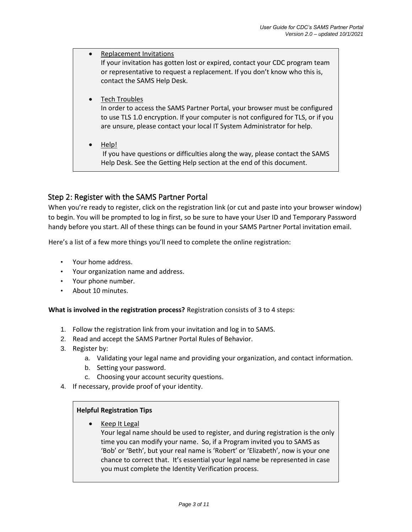| $\bullet$ | Replacement Invitations<br>If your invitation has gotten lost or expired, contact your CDC program team<br>or representative to request a replacement. If you don't know who this is,<br>contact the SAMS Help Desk.                                               |
|-----------|--------------------------------------------------------------------------------------------------------------------------------------------------------------------------------------------------------------------------------------------------------------------|
| $\bullet$ | <b>Tech Troubles</b><br>In order to access the SAMS Partner Portal, your browser must be configured<br>to use TLS 1.0 encryption. If your computer is not configured for TLS, or if you<br>are unsure, please contact your local IT System Administrator for help. |
| $\bullet$ | Help!<br>If you have questions or difficulties along the way, please contact the SAMS<br>Help Desk. See the Getting Help section at the end of this document.                                                                                                      |

## Step 2: Register with the SAMS Partner Portal

When you're ready to register, click on the registration link (or cut and paste into your browser window) to begin. You will be prompted to log in first, so be sure to have your User ID and Temporary Password handy before you start. All of these things can be found in your SAMS Partner Portal invitation email.

Here's a list of a few more things you'll need to complete the online registration:

- Your home address.
- Your organization name and address.
- Your phone number.
- About 10 minutes.

**What is involved in the registration process?** Registration consists of 3 to 4 steps:

- 1. Follow the registration link from your invitation and log in to SAMS.
- 2. Read and accept the SAMS Partner Portal Rules of Behavior.
- 3. Register by:
	- a. Validating your legal name and providing your organization, and contact information.
	- b. Setting your password.
	- c. Choosing your account security questions.
- 4. If necessary, provide proof of your identity.

#### **Helpful Registration Tips**

• Keep It Legal

Your legal name should be used to register, and during registration is the only time you can modify your name. So, if a Program invited you to SAMS as 'Bob' or 'Beth', but your real name is 'Robert' or 'Elizabeth', now is your one chance to correct that. It's essential your legal name be represented in case you must complete the Identity Verification process.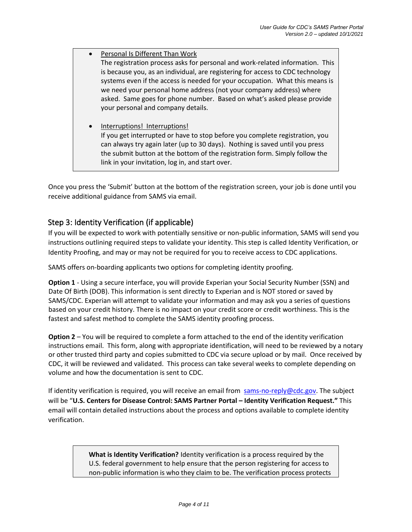- Personal Is Different Than Work The registration process asks for personal and work-related information. This is because you, as an individual, are registering for access to CDC technology systems even if the access is needed for your occupation. What this means is we need your personal home address (not your company address) where asked. Same goes for phone number. Based on what's asked please provide your personal and company details.
	- Interruptions! Interruptions! If you get interrupted or have to stop before you complete registration, you can always try again later (up to 30 days). Nothing is saved until you press the submit button at the bottom of the registration form. Simply follow the link in your invitation, log in, and start over.

Once you press the 'Submit' button at the bottom of the registration screen, your job is done until you receive additional guidance from SAMS via email.

# Step 3: Identity Verification (if applicable)

If you will be expected to work with potentially sensitive or non-public information, SAMS will send you instructions outlining required steps to validate your identity. This step is called Identity Verification, or Identity Proofing, and may or may not be required for you to receive access to CDC applications.

SAMS offers on-boarding applicants two options for completing identity proofing.

**Option 1** - Using a secure interface, you will provide Experian your Social Security Number (SSN) and Date Of Birth (DOB). This information is sent directly to Experian and is NOT stored or saved by SAMS/CDC. Experian will attempt to validate your information and may ask you a series of questions based on your credit history. There is no impact on your credit score or credit worthiness. This is the fastest and safest method to complete the SAMS identity proofing process.

**Option 2** – You will be required to complete a form attached to the end of the identity verification instructions email. This form, along with appropriate identification, will need to be reviewed by a notary or other trusted third party and copies submitted to CDC via secure upload or by mail. Once received by CDC, it will be reviewed and validated. This process can take several weeks to complete depending on volume and how the documentation is sent to CDC.

If identity verification is required, you will receive an email from sams-no-reply@cdc.gov. The subject will be "**U.S. Centers for Disease Control: SAMS Partner Portal – Identity Verification Request."** This email will contain detailed instructions about the process and options available to complete identity verification.

> **What is Identity Verification?** Identity verification is a process required by the U.S. federal government to help ensure that the person registering for access to non-public information is who they claim to be. The verification process protects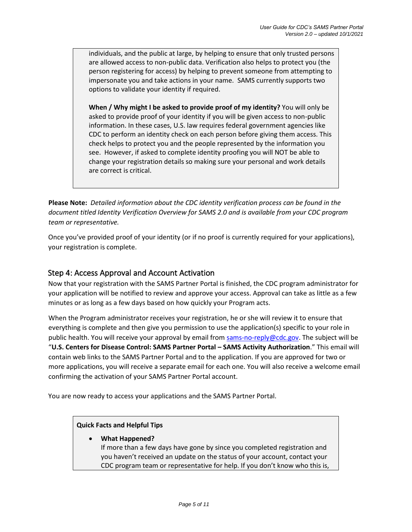individuals, and the public at large, by helping to ensure that only trusted persons are allowed access to non-public data. Verification also helps to protect you (the person registering for access) by helping to prevent someone from attempting to impersonate you and take actions in your name. SAMS currently supports two options to validate your identity if required.

**When / Why might I be asked to provide proof of my identity?** You will only be asked to provide proof of your identity if you will be given access to non-public information. In these cases, U.S. law requires federal government agencies like CDC to perform an identity check on each person before giving them access. This check helps to protect you and the people represented by the information you see. However, if asked to complete identity proofing you will NOT be able to change your registration details so making sure your personal and work details are correct is critical.

**Please Note:** *Detailed information about the CDC identity verification process can be found in the document titled Identity Verification Overview for SAMS 2.0 and is available from your CDC program team or representative.* 

Once you've provided proof of your identity (or if no proof is currently required for your applications), your registration is complete.

## Step 4: Access Approval and Account Activation

Now that your registration with the SAMS Partner Portal is finished, the CDC program administrator for your application will be notified to review and approve your access. Approval can take as little as a few minutes or as long as a few days based on how quickly your Program acts.

When the Program administrator receives your registration, he or she will review it to ensure that everything is complete and then give you permission to use the application(s) specific to your role in public health. You will receive your approval by email from sams-no-reply@cdc.gov. The subject will be "**U.S. Centers for Disease Control: SAMS Partner Portal – SAMS Activity Authorization**." This email will contain web links to the SAMS Partner Portal and to the application. If you are approved for two or more applications, you will receive a separate email for each one. You will also receive a welcome email confirming the activation of your SAMS Partner Portal account.

You are now ready to access your applications and the SAMS Partner Portal.

#### **Quick Facts and Helpful Tips**

• **What Happened?** If more than a few days have gone by since you completed registration and you haven't received an update on the status of your account, contact your CDC program team or representative for help. If you don't know who this is,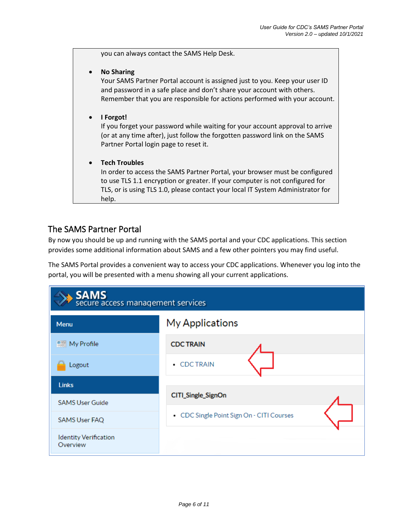you can always contact the SAMS Help Desk.

• **No Sharing**

Your SAMS Partner Portal account is assigned just to you. Keep your user ID and password in a safe place and don't share your account with others. Remember that you are responsible for actions performed with your account.

• **I Forgot!**

If you forget your password while waiting for your account approval to arrive (or at any time after), just follow the forgotten password link on the SAMS Partner Portal login page to reset it.

#### • **Tech Troubles**

In order to access the SAMS Partner Portal, your browser must be configured to use TLS 1.1 encryption or greater. If your computer is not configured for TLS, or is using TLS 1.0, please contact your local IT System Administrator for help.

# The SAMS Partner Portal

By now you should be up and running with the SAMS portal and your CDC applications. This section provides some additional information about SAMS and a few other pointers you may find useful.

The SAMS Portal provides a convenient way to access your CDC applications. Whenever you log into the portal, you will be presented with a menu showing all your current applications.

| <b>SAMS</b><br>secure access management services |                                           |  |  |
|--------------------------------------------------|-------------------------------------------|--|--|
| Menu                                             | My Applications                           |  |  |
| <b>Did</b> My Profile                            | <b>CDC TRAIN</b>                          |  |  |
| Logout                                           | • CDC TRAIN                               |  |  |
| <b>Links</b>                                     |                                           |  |  |
| <b>SAMS User Guide</b>                           | CITI_Single_SignOn                        |  |  |
| <b>SAMS User FAQ</b>                             | • CDC Single Point Sign On - CITI Courses |  |  |
| <b>Identity Verification</b><br>Overview         |                                           |  |  |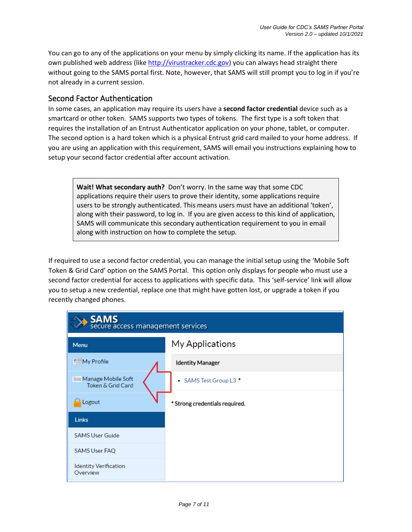You can go to any of the applications on your menu by simply clicking its name. If the application has its own published web address (like http://virustracker.cdc.gov) you can always head straight there without going to the SAMS portal first. Note, however, that SAMS will still prompt you to log in if you're not already in a current session.

## Second Factor Authentication

In some cases, an application may require its users have a **second factor credential** device such as a smartcard or other token. SAMS supports two types of tokens. The first type is a soft token that requires the installation of an Entrust Authenticator application on your phone, tablet, or computer. The second option is a hard token which is a physical Entrust grid card mailed to your home address. If you are using an application with this requirement, SAMS will email you instructions explaining how to setup your second factor credential after account activation.

**Wait! What secondary auth?** Don't worry. In the same way that some CDC applications require their users to prove their identity, some applications require users to be strongly authenticated. This means users must have an additional 'token', along with their password, to log in. If you are given access to this kind of application, SAMS will communicate this secondary authentication requirement to you in email along with instruction on how to complete the setup.

If required to use a second factor credential, you can manage the initial setup using the 'Mobile Soft Token & Grid Card' option on the SAMS Portal. This option only displays for people who must use a second factor credential for access to applications with specific data. This 'self-service' link will allow you to setup a new credential, replace one that might have gotten lost, or upgrade a token if you recently changed phones.

| <b>SAMS</b><br>secure access management services     |                                |  |  |
|------------------------------------------------------|--------------------------------|--|--|
| Menu                                                 | <b>My Applications</b>         |  |  |
| <sup>n</sup> My Profile                              | <b>Identity Manager</b>        |  |  |
| <b>ISSIS Manage Mobile Soft</b><br>Token & Grid Card | • SAMS Test Group L3 *         |  |  |
| Logout                                               | * Strong credentials required. |  |  |
| Links                                                |                                |  |  |
| <b>SAMS User Guide</b>                               |                                |  |  |
| <b>SAMS User FAQ</b>                                 |                                |  |  |
| <b>Identity Verification</b><br>Overview             |                                |  |  |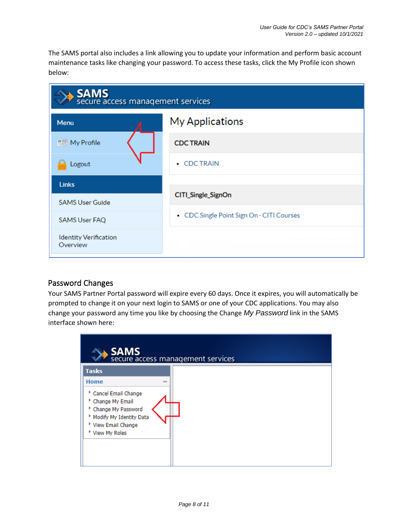The SAMS portal also includes a link allowing you to update your information and perform basic account maintenance tasks like changing your password. To access these tasks, click the My Profile icon shown below:



# Password Changes

Your SAMS Partner Portal password will expire every 60 days. Once it expires, you will automatically be prompted to change it on your next login to SAMS or one of your CDC applications. You may also change your password any time you like by choosing the Change *My Password* link in the SAMS interface shown here:

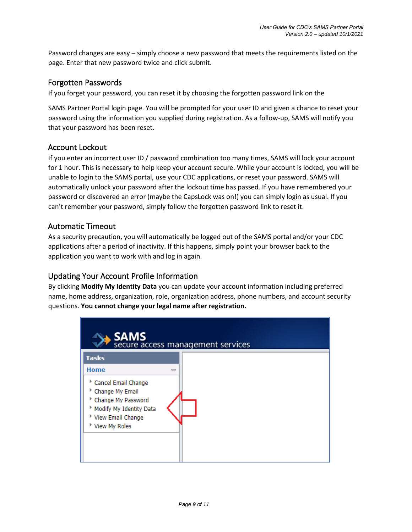Password changes are easy – simply choose a new password that meets the requirements listed on the page. Enter that new password twice and click submit.

# Forgotten Passwords

If you forget your password, you can reset it by choosing the forgotten password link on the

SAMS Partner Portal login page. You will be prompted for your user ID and given a chance to reset your password using the information you supplied during registration. As a follow-up, SAMS will notify you that your password has been reset.

## Account Lockout

If you enter an incorrect user ID / password combination too many times, SAMS will lock your account for 1 hour. This is necessary to help keep your account secure. While your account is locked, you will be unable to login to the SAMS portal, use your CDC applications, or reset your password. SAMS will automatically unlock your password after the lockout time has passed. If you have remembered your password or discovered an error (maybe the CapsLock was on!) you can simply login as usual. If you can't remember your password, simply follow the forgotten password link to reset it.

## Automatic Timeout

As a security precaution, you will automatically be logged out of the SAMS portal and/or your CDC applications after a period of inactivity. If this happens, simply point your browser back to the application you want to work with and log in again.

## Updating Your Account Profile Information

By clicking **Modify My Identity Data** you can update your account information including preferred name, home address, organization, role, organization address, phone numbers, and account security questions. **You cannot change your legal name after registration.**

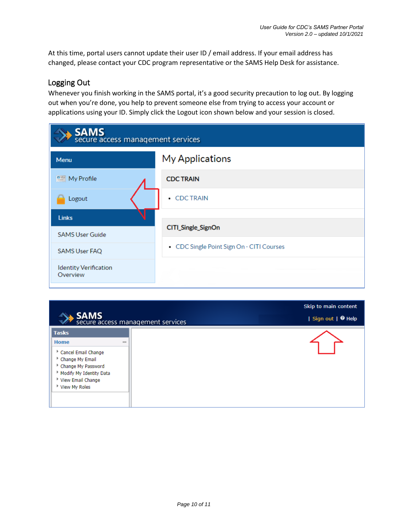At this time, portal users cannot update their user ID / email address. If your email address has changed, please contact your CDC program representative or the SAMS Help Desk for assistance.

# Logging Out

Whenever you finish working in the SAMS portal, it's a good security precaution to log out. By logging out when you're done, you help to prevent someone else from trying to access your account or applications using your ID. Simply click the Logout icon shown below and your session is closed.

| <b>SAMS</b><br>secure access management services |                                           |  |  |
|--------------------------------------------------|-------------------------------------------|--|--|
| Menu                                             | <b>My Applications</b>                    |  |  |
| $\mathbb{R}$ My Profile                          | <b>CDC TRAIN</b>                          |  |  |
| Logout                                           | • CDC TRAIN                               |  |  |
| <b>Links</b>                                     |                                           |  |  |
| <b>SAMS User Guide</b>                           | CITI_Single_SignOn                        |  |  |
| <b>SAMS User FAQ</b>                             | • CDC Single Point Sign On - CITI Courses |  |  |
| <b>Identity Verification</b><br>Overview         |                                           |  |  |